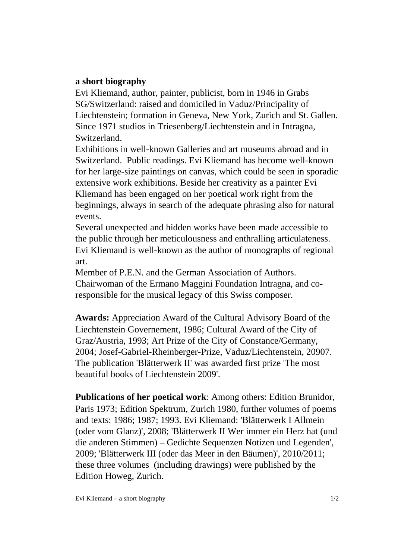## **a short biography**

Evi Kliemand, author, painter, publicist, born in 1946 in Grabs SG/Switzerland: raised and domiciled in Vaduz/Principality of Liechtenstein; formation in Geneva, New York, Zurich and St. Gallen. Since 1971 studios in Triesenberg/Liechtenstein and in Intragna, Switzerland.

Exhibitions in well-known Galleries and art museums abroad and in Switzerland. Public readings. Evi Kliemand has become well-known for her large-size paintings on canvas, which could be seen in sporadic extensive work exhibitions. Beside her creativity as a painter Evi Kliemand has been engaged on her poetical work right from the beginnings, always in search of the adequate phrasing also for natural events.

Several unexpected and hidden works have been made accessible to the public through her meticulousness and enthralling articulateness. Evi Kliemand is well-known as the author of monographs of regional art.

Member of P.E.N. and the German Association of Authors. Chairwoman of the Ermano Maggini Foundation Intragna, and coresponsible for the musical legacy of this Swiss composer.

**Awards:** Appreciation Award of the Cultural Advisory Board of the Liechtenstein Governement, 1986; Cultural Award of the City of Graz/Austria, 1993; Art Prize of the City of Constance/Germany, 2004; Josef-Gabriel-Rheinberger-Prize, Vaduz/Liechtenstein, 20907. The publication 'Blätterwerk II' was awarded first prize 'The most beautiful books of Liechtenstein 2009'.

**Publications of her poetical work**: Among others: Edition Brunidor, Paris 1973; Edition Spektrum, Zurich 1980, further volumes of poems and texts: 1986; 1987; 1993. Evi Kliemand: 'Blätterwerk I Allmein (oder vom Glanz)', 2008; 'Blätterwerk II Wer immer ein Herz hat (und die anderen Stimmen) – Gedichte Sequenzen Notizen und Legenden', 2009; 'Blätterwerk III (oder das Meer in den Bäumen)', 2010/2011; these three volumes (including drawings) were published by the Edition Howeg, Zurich.